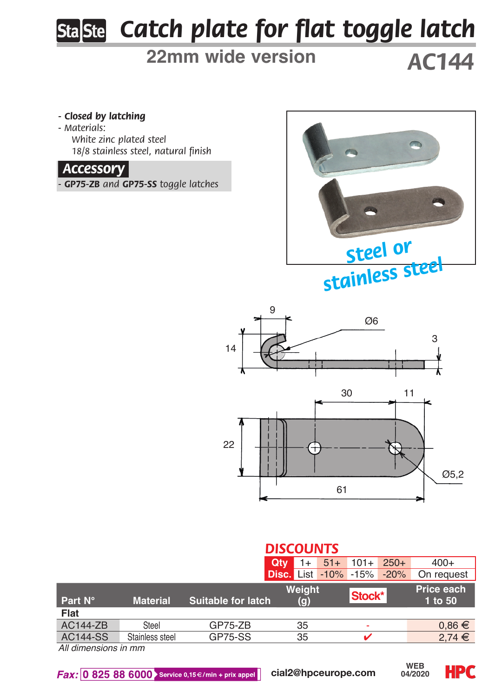# *Catch plate for flat toggle latch*

# **22mm wide version**

*AC144*

#### *- Closed by latching*

*- Materials: White zinc plated steel 18/8 stainless steel, natural finish*

## *Accessory.*

*- GP75-ZB and GP75-SS toggle latches*





### *DISCOUNTS*

|                      |                 |                           | Qtv                         | $51+$ |        | $101 + 250 +$ | $400+$                |
|----------------------|-----------------|---------------------------|-----------------------------|-------|--------|---------------|-----------------------|
|                      |                 |                           | <b>Disc. List -10% -15%</b> |       |        | $-20%$        | On request            |
| Part N°              | <b>Material</b> | <b>Suitable for latch</b> | Weight<br>(q)               |       | Stock* |               | Price each<br>1 to 50 |
| Flat                 |                 |                           |                             |       |        |               |                       |
| AC144-ZB             | Steel           | $GP75-ZB$                 | 35                          |       | ۰      |               | $0.86 \in$            |
| AC144-SS             | Stainless steel | GP75-SS                   | 35                          |       |        |               | $2.74 \in$            |
| All dimensions in mm |                 |                           |                             |       |        |               |                       |

*All dimensions in mm*

 $Fax: 0 825 88 6000$  Service 0,15 $\in$ /min + prix appel